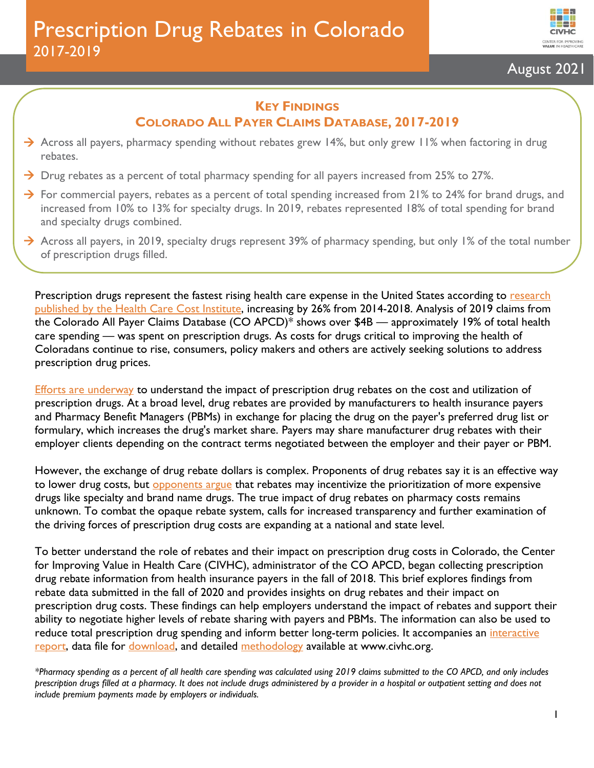

# August 2021

### **KEY FINDINGS COLORADO ALL PAYER CLAIMS DATABASE, 2017-2019**

- → Across all payers, pharmacy spending without rebates grew 14%, but only grew 11% when factoring in drug rebates.
- $\rightarrow$  Drug rebates as a percent of total pharmacy spending for all payers increased from 25% to 27%.
- $\rightarrow$  For commercial payers, rebates as a percent of total spending increased from 21% to 24% for brand drugs, and increased from 10% to 13% for specialty drugs. In 2019, rebates represented 18% of total spending for brand and specialty drugs combined.
- $\rightarrow$  Across all payers, in 2019, specialty drugs represent 39% of pharmacy spending, but only 1% of the total number of prescription drugs filled.

Prescription drugs represent the fastest rising health care expense in the United States according to research [published by the Health Care Cost Institute,](https://healthcostinstitute.org/images/pdfs/HCCI_2018_Health_Care_Cost_and_Utilization_Report.pdf) increasing by 26% from 2014-2018. Analysis of 2019 claims from the Colorado All Payer Claims Database (CO APCD)\* shows over \$4B — approximately 19% of total health care spending — was spent on prescription drugs. As costs for drugs critical to improving the health of Coloradans continue to rise, consumers, policy makers and others are actively seeking solutions to address prescription drug prices.

[Efforts are underway](https://leg.colorado.gov/bills/sb21-175) to understand the impact of prescription drug rebates on the cost and utilization of prescription drugs. At a broad level, drug rebates are provided by manufacturers to health insurance payers and Pharmacy Benefit Managers (PBMs) in exchange for placing the drug on the payer's preferred drug list or formulary, which increases the drug's market share. Payers may share manufacturer drug rebates with their employer clients depending on the contract terms negotiated between the employer and their payer or PBM.

However, the exchange of drug rebate dollars is complex. Proponents of drug rebates say it is an effective way to lower drug costs, but **[opponents](https://icer.org/wp-content/uploads/2018/12/March-2019-ICER-OHE-White-Paper-on-Rebates-Final.pdf) argue that rebates may incentivize** the prioritization of more expensive drugs like specialty and brand name drugs. The true impact of drug rebates on pharmacy costs remains unknown. To combat the opaque rebate system, calls for increased transparency and further examination of the driving forces of prescription drug costs are expanding at a national and state level.

To better understand the role of rebates and their impact on prescription drug costs in Colorado, the Center for Improving Value in Health Care (CIVHC), administrator of the CO APCD, began collecting prescription drug rebate information from health insurance payers in the fall of 2018. This brief explores findings from rebate data submitted in the fall of 2020 and provides insights on drug rebates and their impact on prescription drug costs. These findings can help employers understand the impact of rebates and support their ability to negotiate higher levels of rebate sharing with payers and PBMs. The information can also be used to reduce total prescription drug spending and inform better long-term policies. It accompanies an interactive [report,](https://www.civhc.org/get-data/public-data/focus-areas/prescription-drug-rebates/) data file for [download,](https://www.civhc.org/wp-content/uploads/2021/06/Drug-Rebate-Excel-File_6.21.xlsx) and detailed [methodology](https://www.civhc.org/wp-content/uploads/2021/06/Drug-Rebate-Methodology-6.2021.pdf) available at www.civhc.org.

*<sup>\*</sup>Pharmacy spending as a percent of all health care spending was calculated using 2019 claims submitted to the CO APCD, and only includes prescription drugs filled at a pharmacy. It does not include drugs administered by a provider in a hospital or outpatient setting and does not include premium payments made by employers or individuals.*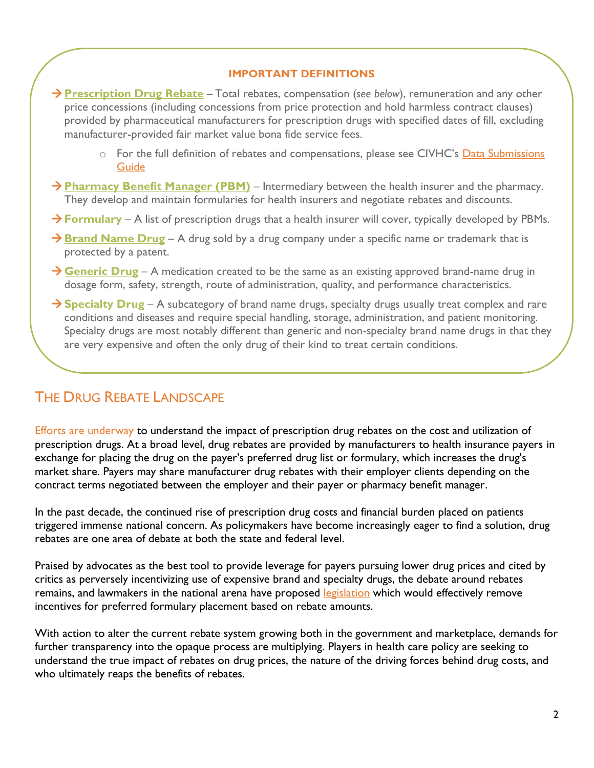#### **IMPORTANT DEFINITIONS**

- →**Prescription Drug Rebate** Total rebates, compensation (*see below*), remuneration and any other price concessions (including concessions from price protection and hold harmless contract clauses) provided by pharmaceutical manufacturers for prescription drugs with specified dates of fill, excluding manufacturer-provided fair market value bona fide service fees.
	- o For the full definition of rebates and compensations, please see CIVHC's [Data Submissions](https://www.civhc.org/wp-content/uploads/2020/06/Data-Submission-Guide-DSG-v-11.5_5.30.20.pdf)  [Guide](https://www.civhc.org/wp-content/uploads/2020/06/Data-Submission-Guide-DSG-v-11.5_5.30.20.pdf)
- → **Pharmacy Benefit Manager (PBM)** Intermediary between the health insurer and the pharmacy. They develop and maintain formularies for health insurers and negotiate rebates and discounts.
- → **Formulary** A list of prescription drugs that a health insurer will cover, typically developed by PBMs.
- → **Brand Name Drug** A drug sold by a drug company under a specific name or trademark that is protected by a patent.
- → **Generic Drug** A medication created to be the same as an existing approved brand-name drug in dosage form, safety, strength, route of administration, quality, and performance characteristics.
- → **Specialty Drug** A subcategory of brand name drugs, specialty drugs usually treat complex and rare conditions and diseases and require special handling, storage, administration, and patient monitoring. Specialty drugs are most notably different than generic and non-specialty brand name drugs in that they are very expensive and often the only drug of their kind to treat certain conditions.

## THE DRUG REBATE LANDSCAPE

[Efforts are underway](https://leg.colorado.gov/bills/sb21-175) to understand the impact of prescription drug rebates on the cost and utilization of prescription drugs. At a broad level, drug rebates are provided by manufacturers to health insurance payers in exchange for placing the drug on the payer's preferred drug list or formulary, which increases the drug's market share. Payers may share manufacturer drug rebates with their employer clients depending on the contract terms negotiated between the employer and their payer or pharmacy benefit manager.

In the past decade, the continued rise of prescription drug costs and financial burden placed on patients triggered immense national concern. As policymakers have become increasingly eager to find a solution, drug rebates are one area of debate at both the state and federal level.

Praised by advocates as the best tool to provide leverage for payers pursuing lower drug prices and cited by critics as perversely incentivizing use of expensive brand and specialty drugs, the debate around rebates remains, and lawmakers in the national arena have proposed [legislation](https://www.healthaffairs.org/do/10.1377/hblog20190201.545950/full/) which would effectively remove incentives for preferred formulary placement based on rebate amounts.

With action to alter the current rebate system growing both in the government and marketplace, demands for further transparency into the opaque process are multiplying. Players in health care policy are seeking to understand the true impact of rebates on drug prices, the nature of the driving forces behind drug costs, and who ultimately reaps the benefits of rebates.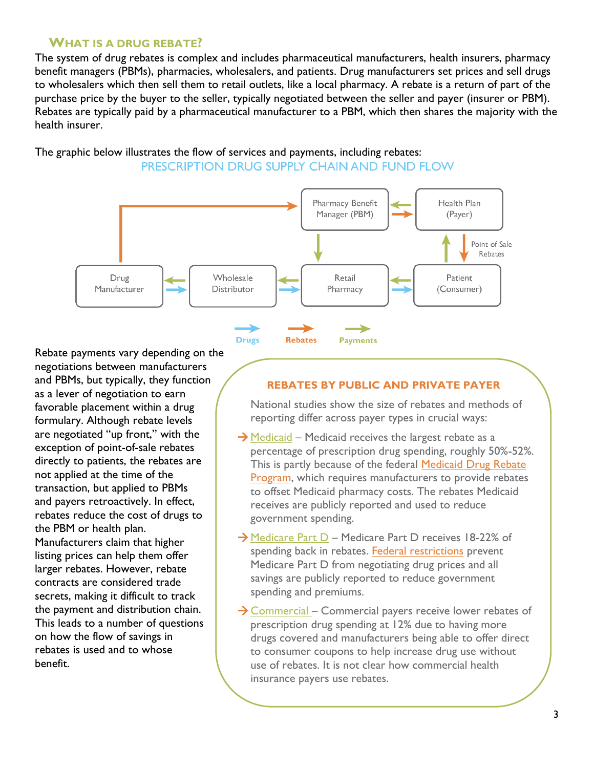### **WHAT IS A DRUG REBATE?**

The system of drug rebates is complex and includes pharmaceutical manufacturers, health insurers, pharmacy benefit managers (PBMs), pharmacies, wholesalers, and patients. Drug manufacturers set prices and sell drugs to wholesalers which then sell them to retail outlets, like a local pharmacy. A rebate is a return of part of the purchase price by the buyer to the seller, typically negotiated between the seller and payer (insurer or PBM). Rebates are typically paid by a pharmaceutical manufacturer to a PBM, which then shares the majority with the health insurer.

The graphic below illustrates the flow of services and payments, including rebates: PRESCRIPTION DRUG SUPPLY CHAIN AND FUND FLOW



Rebate payments vary depending on the negotiations between manufacturers and PBMs, but typically, they function as a lever of negotiation to earn favorable placement within a drug formulary. Although rebate levels are negotiated "up front," with the exception of point-of-sale rebates directly to patients, the rebates are not applied at the time of the transaction, but applied to PBMs and payers retroactively. In effect, rebates reduce the cost of drugs to the PBM or health plan. Manufacturers claim that higher listing prices can help them offer larger rebates. However, rebate contracts are considered trade secrets, making it difficult to track the payment and distribution chain. This leads to a number of questions on how the flow of savings in rebates is used and to whose benefit.

#### **REBATES BY PUBLIC AND PRIVATE PAYER**

National studies show the size of rebates and methods of reporting differ across payer types in crucial ways:

- $\rightarrow$  Medicaid Medicaid receives the largest rebate as a percentage of prescription drug spending, roughly 50%-52%. This is partly because of the federal [Medicaid Drug Rebate](https://www.medicaid.gov/medicaid/prescription-drugs/medicaid-drug-rebate-program/index.html)  [Program,](https://www.medicaid.gov/medicaid/prescription-drugs/medicaid-drug-rebate-program/index.html) which requires manufacturers to provide rebates to offset Medicaid pharmacy costs. The rebates Medicaid receives are publicly reported and used to reduce government spending.
- → Medicare Part D Medicare Part D receives 18-22% of spending back in rebates. [Federal restrictions](https://www.kff.org/medicare/fact-sheet/an-overview-of-the-medicare-part-d-prescription-drug-benefit/) prevent Medicare Part D from negotiating drug prices and all savings are publicly reported to reduce government spending and premiums.
- → Commercial Commercial payers receive lower rebates of prescription drug spending at 12% due to having more drugs covered and manufacturers being able to offer direct to consumer coupons to help increase drug use without use of rebates. It is not clear how commercial health insurance payers use rebates.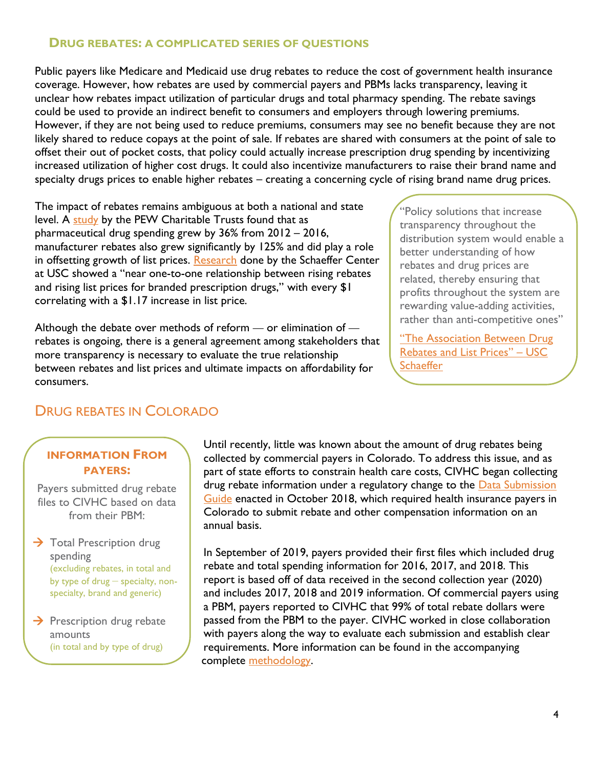### **DRUG REBATES: A COMPLICATED SERIES OF QUESTIONS**

Public payers like Medicare and Medicaid use drug rebates to reduce the cost of government health insurance coverage. However, how rebates are used by commercial payers and PBMs lacks transparency, leaving it unclear how rebates impact utilization of particular drugs and total pharmacy spending. The rebate savings could be used to provide an indirect benefit to consumers and employers through lowering premiums. However, if they are not being used to reduce premiums, consumers may see no benefit because they are not likely shared to reduce copays at the point of sale. If rebates are shared with consumers at the point of sale to offset their out of pocket costs, that policy could actually increase prescription drug spending by incentivizing increased utilization of higher cost drugs. It could also incentivize manufacturers to raise their brand name and specialty drugs prices to enable higher rebates – creating a concerning cycle of rising brand name drug prices.

The impact of rebates remains ambiguous at both a national and state level. A [study](https://www.pewtrusts.org/-/media/assets/2019/03/the_prescription_drug_landscape-explored.pdf) by the PEW Charitable Trusts found that as pharmaceutical drug spending grew by 36% from 2012 – 2016, manufacturer rebates also grew significantly by 125% and did play a role in offsetting growth of list prices. [Research](https://healthpolicy.usc.edu/wp-content/uploads/2020/02/SchaefferCenter_RebatesListPrices_WhitePaper.pdf) done by the Schaeffer Center at USC showed a "near one-to-one relationship between rising rebates and rising list prices for branded prescription drugs," with every \$1 correlating with a \$1.17 increase in list price.

Although the debate over methods of reform *—* or elimination of  rebates is ongoing, there is a general agreement among stakeholders that more transparency is necessary to evaluate the true relationship between rebates and list prices and ultimate impacts on affordability for consumers.

"Policy solutions that increase transparency throughout the distribution system would enable a better understanding of how rebates and drug prices are related, thereby ensuring that profits throughout the system are rewarding value-adding activities, rather than anti-competitive ones"

"The Association Between Drug [Rebates and List Prices](https://healthpolicy.usc.edu/wp-content/uploads/2020/02/SchaefferCenter_RebatesListPrices_WhitePaper.pdf)" – USC **[Schaeffer](https://healthpolicy.usc.edu/wp-content/uploads/2020/02/SchaefferCenter_RebatesListPrices_WhitePaper.pdf)** 

## DRUG REBATES IN COLORADO

## **INFORMATION FROM PAYERS:**

Payers submitted drug rebate files to CIVHC based on data from their PBM:

 $\rightarrow$  Total Prescription drug spending (excluding rebates, in total and by type of drug – specialty, nonspecialty, brand and generic)

 $\rightarrow$  Prescription drug rebate amounts (in total and by type of drug)

Until recently, little was known about the amount of drug rebates being collected by commercial payers in Colorado. To address this issue, and as part of state efforts to constrain health care costs, CIVHC began collecting drug rebate information under a regulatory change to the **Data Submission** [Guide](https://www.civhc.org/wp-content/uploads/2020/06/Data-Submission-Guide-DSG-v-11.5_5.30.20.pdf) enacted in October 2018, which required health insurance payers in Colorado to submit rebate and other compensation information on an annual basis.

In September of 2019, payers provided their first files which included drug rebate and total spending information for 2016, 2017, and 2018. This report is based off of data received in the second collection year (2020) and includes 2017, 2018 and 2019 information. Of commercial payers using a PBM, payers reported to CIVHC that 99% of total rebate dollars were passed from the PBM to the payer. CIVHC worked in close collaboration with payers along the way to evaluate each submission and establish clear requirements. More information can be found in the accompanying complete [methodology.](https://www.civhc.org/wp-content/uploads/2021/06/Drug-Rebate-Methodology-6.2021.pdf)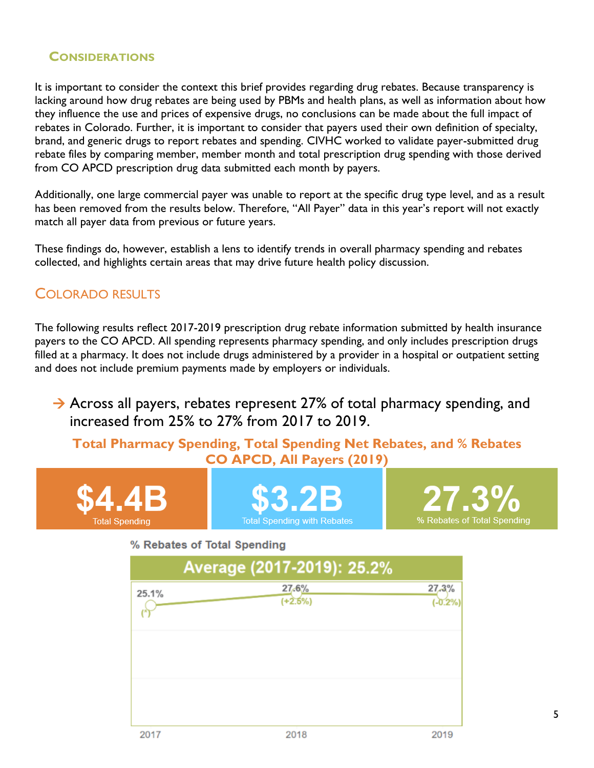### **CONSIDERATIONS**

It is important to consider the context this brief provides regarding drug rebates. Because transparency is lacking around how drug rebates are being used by PBMs and health plans, as well as information about how they influence the use and prices of expensive drugs, no conclusions can be made about the full impact of rebates in Colorado. Further, it is important to consider that payers used their own definition of specialty, brand, and generic drugs to report rebates and spending. CIVHC worked to validate payer-submitted drug rebate files by comparing member, member month and total prescription drug spending with those derived from CO APCD prescription drug data submitted each month by payers.

Additionally, one large commercial payer was unable to report at the specific drug type level, and as a result has been removed from the results below. Therefore, "All Payer" data in this year's report will not exactly match all payer data from previous or future years.

These findings do, however, establish a lens to identify trends in overall pharmacy spending and rebates collected, and highlights certain areas that may drive future health policy discussion.

## COLORADO RESULTS

The following results reflect 2017-2019 prescription drug rebate information submitted by health insurance payers to the CO APCD. All spending represents pharmacy spending, and only includes prescription drugs filled at a pharmacy. It does not include drugs administered by a provider in a hospital or outpatient setting and does not include premium payments made by employers or individuals.

 $\rightarrow$  Across all payers, rebates represent 27% of total pharmacy spending, and increased from 25% to 27% from 2017 to 2019.

**Total Pharmacy Spending, Total Spending Net Rebates, and % Rebates CO APCD, All Payers (2019)**





% Rebates of Total Spending

|       | Average (2017-2019): 25.2% |                    |
|-------|----------------------------|--------------------|
| 25.1% | 27.6%<br>$(+2.5%)$         | 27,3%<br>$(-0.2%)$ |
|       |                            |                    |
|       |                            |                    |
| 2017  | 2018                       | 2019               |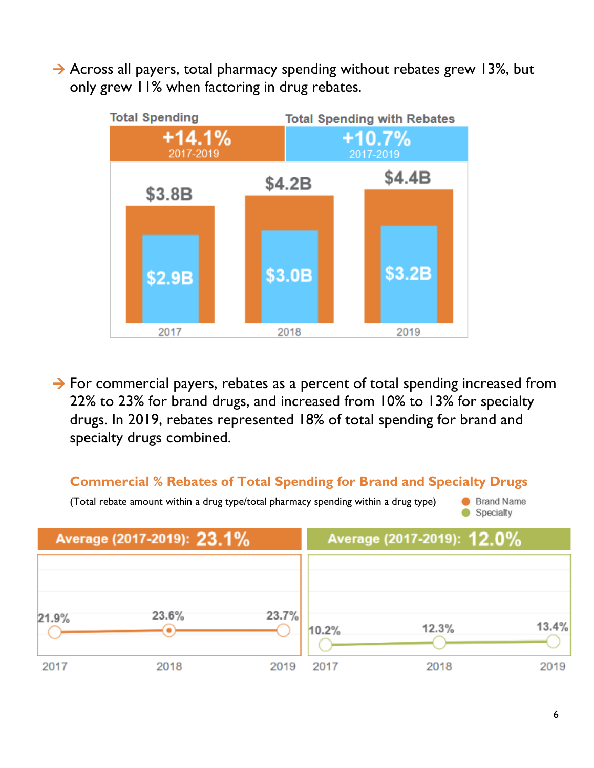$\rightarrow$  Across all payers, total pharmacy spending without rebates grew 13%, but only grew 11% when factoring in drug rebates.



 $\rightarrow$  For commercial payers, rebates as a percent of total spending increased from 22% to 23% for brand drugs, and increased from 10% to 13% for specialty drugs. In 2019, rebates represented 18% of total spending for brand and specialty drugs combined.

## **Commercial % Rebates of Total Spending for Brand and Specialty Drugs**